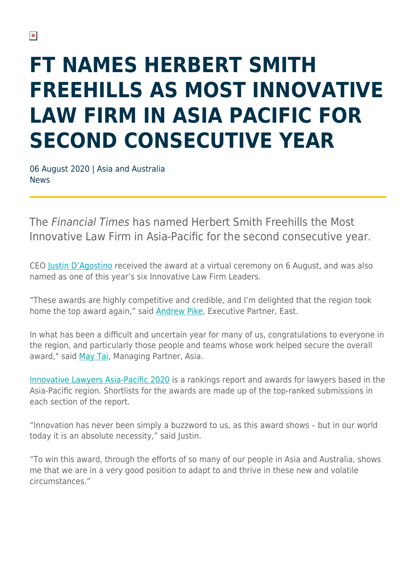# **FT NAMES HERBERT SMITH FREEHILLS AS MOST INNOVATIVE LAW FIRM IN ASIA PACIFIC FOR SECOND CONSECUTIVE YEAR**

06 August 2020 | Asia and Australia **News** 

The Financial Times has named Herbert Smith Freehills the Most Innovative Law Firm in Asia-Pacific for the second consecutive year.

CEO [Justin D'Agostino](https://www.herbertsmithfreehills.com/our-people/justin-dagostino) received the award at a virtual ceremony on 6 August, and was also named as one of this year's six Innovative Law Firm Leaders.

"These awards are highly competitive and credible, and I'm delighted that the region took home the top award again," said [Andrew Pike](https://www.herbertsmithfreehills.com/our-people/andrew-pike), Executive Partner, East.

In what has been a difficult and uncertain year for many of us, congratulations to everyone in the region, and particularly those people and teams whose work helped secure the overall award," said [May Tai](https://www.herbertsmithfreehills.com/our-people/may-tai), Managing Partner, Asia.

[Innovative Lawyers Asia-Pacific 2020](https://www.ft.com/reports/innovative-lawyers-asia-pacific) is a rankings report and awards for lawyers based in the Asia-Pacific region. Shortlists for the awards are made up of the top-ranked submissions in each section of the report.

"Innovation has never been simply a buzzword to us, as this award shows – but in our world today it is an absolute necessity," said Justin.

"To win this award, through the efforts of so many of our people in Asia and Australia, shows me that we are in a very good position to adapt to and thrive in these new and volatile circumstances."